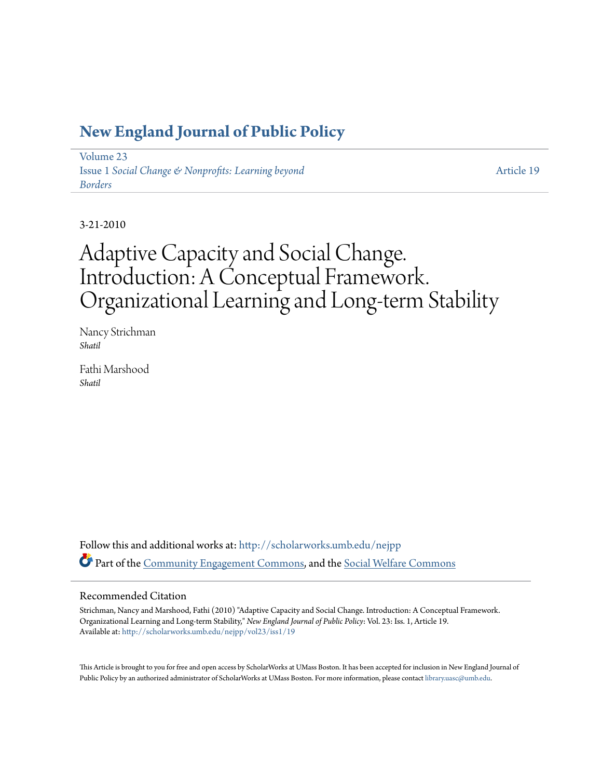## **[New England Journal of Public Policy](http://scholarworks.umb.edu/nejpp?utm_source=scholarworks.umb.edu%2Fnejpp%2Fvol23%2Fiss1%2F19&utm_medium=PDF&utm_campaign=PDFCoverPages)**

[Volume 23](http://scholarworks.umb.edu/nejpp/vol23?utm_source=scholarworks.umb.edu%2Fnejpp%2Fvol23%2Fiss1%2F19&utm_medium=PDF&utm_campaign=PDFCoverPages) Issue 1 *[Social Change & Nonprofits: Learning beyond](http://scholarworks.umb.edu/nejpp/vol23/iss1?utm_source=scholarworks.umb.edu%2Fnejpp%2Fvol23%2Fiss1%2F19&utm_medium=PDF&utm_campaign=PDFCoverPages) [Borders](http://scholarworks.umb.edu/nejpp/vol23/iss1?utm_source=scholarworks.umb.edu%2Fnejpp%2Fvol23%2Fiss1%2F19&utm_medium=PDF&utm_campaign=PDFCoverPages)*

[Article 19](http://scholarworks.umb.edu/nejpp/vol23/iss1/19?utm_source=scholarworks.umb.edu%2Fnejpp%2Fvol23%2Fiss1%2F19&utm_medium=PDF&utm_campaign=PDFCoverPages)

3-21-2010

# Adaptive Capacity and Social Change. Introduction: A Conceptual Framework. Organizational Learning and Long-term Stability

Nancy Strichman *Shatil*

Fathi Marshood *Shatil*

Follow this and additional works at: [http://scholarworks.umb.edu/nejpp](http://scholarworks.umb.edu/nejpp?utm_source=scholarworks.umb.edu%2Fnejpp%2Fvol23%2Fiss1%2F19&utm_medium=PDF&utm_campaign=PDFCoverPages) Part of the [Community Engagement Commons](http://network.bepress.com/hgg/discipline/1028?utm_source=scholarworks.umb.edu%2Fnejpp%2Fvol23%2Fiss1%2F19&utm_medium=PDF&utm_campaign=PDFCoverPages), and the [Social Welfare Commons](http://network.bepress.com/hgg/discipline/401?utm_source=scholarworks.umb.edu%2Fnejpp%2Fvol23%2Fiss1%2F19&utm_medium=PDF&utm_campaign=PDFCoverPages)

#### Recommended Citation

Strichman, Nancy and Marshood, Fathi (2010) "Adaptive Capacity and Social Change. Introduction: A Conceptual Framework. Organizational Learning and Long-term Stability," *New England Journal of Public Policy*: Vol. 23: Iss. 1, Article 19. Available at: [http://scholarworks.umb.edu/nejpp/vol23/iss1/19](http://scholarworks.umb.edu/nejpp/vol23/iss1/19?utm_source=scholarworks.umb.edu%2Fnejpp%2Fvol23%2Fiss1%2F19&utm_medium=PDF&utm_campaign=PDFCoverPages)

This Article is brought to you for free and open access by ScholarWorks at UMass Boston. It has been accepted for inclusion in New England Journal of Public Policy by an authorized administrator of ScholarWorks at UMass Boston. For more information, please contact [library.uasc@umb.edu](mailto:library.uasc@umb.edu).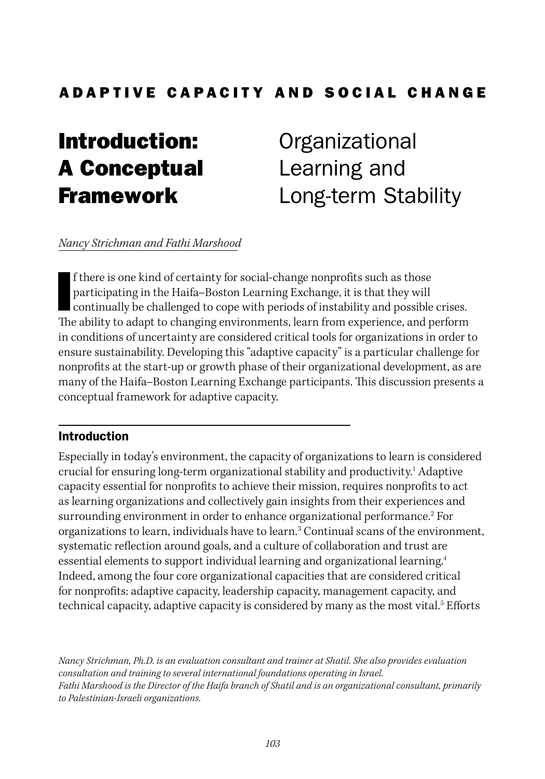## ADAPTIVE CAPACITY AND SOCIAL CHANGE

# Introduction: A Conceptual Framework

**Organizational** Learning and Long-term Stability

#### *Nancy Strichman and Fathi Marshood*

I<sub>D</sub> f there is one kind of certainty for social-change nonprofits such as those participating in the Haifa–Boston Learning Exchange, it is that they will continually be challenged to cope with periods of instability and possible crises. The ability to adapt to changing environments, learn from experience, and perform in conditions of uncertainty are considered critical tools for organizations in order to ensure sustainability. Developing this "adaptive capacity" is a particular challenge for nonprofits at the start-up or growth phase of their organizational development, as are many of the Haifa–Boston Learning Exchange participants. This discussion presents a conceptual framework for adaptive capacity.

#### Introduction

Especially in today's environment, the capacity of organizations to learn is considered crucial for ensuring long-term organizational stability and productivity.<sup>1</sup> Adaptive capacity essential for nonprofits to achieve their mission, requires nonprofits to act as learning organizations and collectively gain insights from their experiences and surrounding environment in order to enhance organizational performance.<sup>2</sup> For organizations to learn, individuals have to learn.<sup>3</sup> Continual scans of the environment, systematic reflection around goals, and a culture of collaboration and trust are essential elements to support individual learning and organizational learning.4 Indeed, among the four core organizational capacities that are considered critical for nonprofits: adaptive capacity, leadership capacity, management capacity, and technical capacity, adaptive capacity is considered by many as the most vital.<sup>5</sup> Efforts

*Nancy Strichman, Ph.D. is an evaluation consultant and trainer at Shatil. She also provides evaluation consultation and training to several international foundations operating in Israel. Fathi Marshood is the Director of the Haifa branch of Shatil and is an organizational consultant, primarily to Palestinian-Israeli organizations.*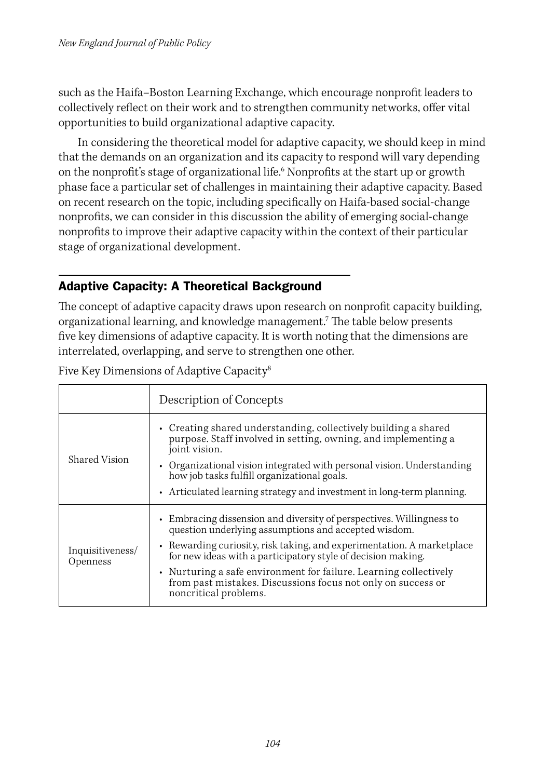such as the Haifa–Boston Learning Exchange, which encourage nonprofit leaders to collectively reflect on their work and to strengthen community networks, offer vital opportunities to build organizational adaptive capacity.

In considering the theoretical model for adaptive capacity, we should keep in mind that the demands on an organization and its capacity to respond will vary depending on the nonprofit's stage of organizational life.6 Nonprofits at the start up or growth phase face a particular set of challenges in maintaining their adaptive capacity. Based on recent research on the topic, including specifically on Haifa-based social-change nonprofits, we can consider in this discussion the ability of emerging social-change nonprofits to improve their adaptive capacity within the context of their particular stage of organizational development.

#### Adaptive Capacity: A Theoretical Background

The concept of adaptive capacity draws upon research on nonprofit capacity building, organizational learning, and knowledge management.7 The table below presents five key dimensions of adaptive capacity. It is worth noting that the dimensions are interrelated, overlapping, and serve to strengthen one other.

|                              | Description of Concepts                                                                                                                                                                                                                                                                                                                              |
|------------------------------|------------------------------------------------------------------------------------------------------------------------------------------------------------------------------------------------------------------------------------------------------------------------------------------------------------------------------------------------------|
| Shared Vision                | • Creating shared understanding, collectively building a shared<br>purpose. Staff involved in setting, owning, and implementing a<br>joint vision.<br>• Organizational vision integrated with personal vision. Understanding<br>how job tasks fulfill organizational goals.<br>• Articulated learning strategy and investment in long-term planning. |
|                              |                                                                                                                                                                                                                                                                                                                                                      |
| Inquisitiveness/<br>Openness | • Embracing dissension and diversity of perspectives. Willingness to<br>question underlying assumptions and accepted wisdom.                                                                                                                                                                                                                         |
|                              | • Rewarding curiosity, risk taking, and experimentation. A marketplace<br>for new ideas with a participatory style of decision making.                                                                                                                                                                                                               |
|                              | • Nurturing a safe environment for failure. Learning collectively<br>from past mistakes. Discussions focus not only on success or<br>noncritical problems.                                                                                                                                                                                           |

Five Key Dimensions of Adaptive Capacity<sup>8</sup>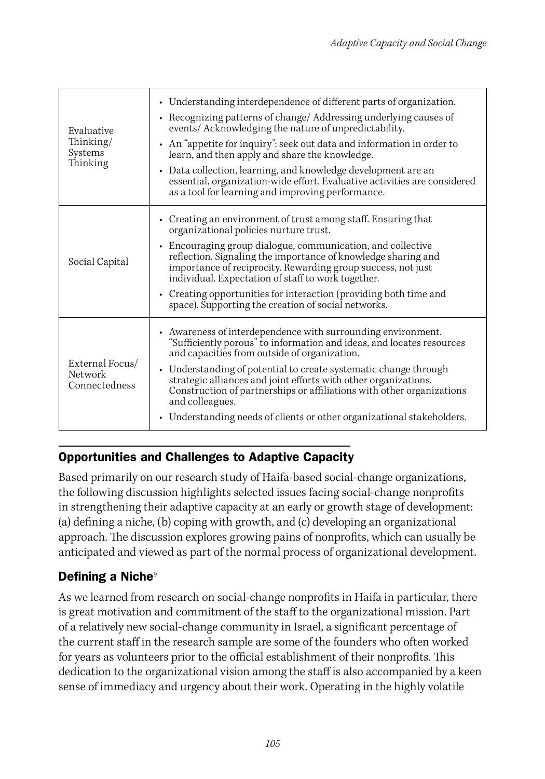| Evaluative<br>Thinking/<br>Systems<br>Thinking     | • Understanding interdependence of different parts of organization.<br>• Recognizing patterns of change/ Addressing underlying causes of<br>events/ Acknowledging the nature of unpredictability.<br>• An "appetite for inquiry": seek out data and information in order to<br>learn, and then apply and share the knowledge.<br>Data collection, learning, and knowledge development are an<br>$\bullet$<br>essential, organization-wide effort. Evaluative activities are considered<br>as a tool for learning and improving performance. |
|----------------------------------------------------|---------------------------------------------------------------------------------------------------------------------------------------------------------------------------------------------------------------------------------------------------------------------------------------------------------------------------------------------------------------------------------------------------------------------------------------------------------------------------------------------------------------------------------------------|
| Social Capital                                     | • Creating an environment of trust among staff. Ensuring that<br>organizational policies nurture trust.<br>• Encouraging group dialogue, communication, and collective<br>reflection. Signaling the importance of knowledge sharing and<br>importance of reciprocity. Rewarding group success, not just<br>individual. Expectation of staff to work together.<br>• Creating opportunities for interaction (providing both time and<br>space). Supporting the creation of social networks.                                                   |
| External Focus/<br><b>Network</b><br>Connectedness | • Awareness of interdependence with surrounding environment.<br>"Sufficiently porous" to information and ideas, and locates resources<br>and capacities from outside of organization.<br>Understanding of potential to create systematic change through<br>٠<br>strategic alliances and joint efforts with other organizations.<br>Construction of partnerships or affiliations with other organizations<br>and colleagues.<br>Understanding needs of clients or other organizational stakeholders.                                         |

## Opportunities and Challenges to Adaptive Capacity

Based primarily on our research study of Haifa-based social-change organizations, the following discussion highlights selected issues facing social-change nonprofits in strengthening their adaptive capacity at an early or growth stage of development: (a) defining a niche, (b) coping with growth, and (c) developing an organizational approach. The discussion explores growing pains of nonprofits, which can usually be anticipated and viewed as part of the normal process of organizational development.

### Defining a Niche<sup>9</sup>

As we learned from research on social-change nonprofits in Haifa in particular, there is great motivation and commitment of the staff to the organizational mission. Part of a relatively new social-change community in Israel, a significant percentage of the current staff in the research sample are some of the founders who often worked for years as volunteers prior to the official establishment of their nonprofits. This dedication to the organizational vision among the staff is also accompanied by a keen sense of immediacy and urgency about their work. Operating in the highly volatile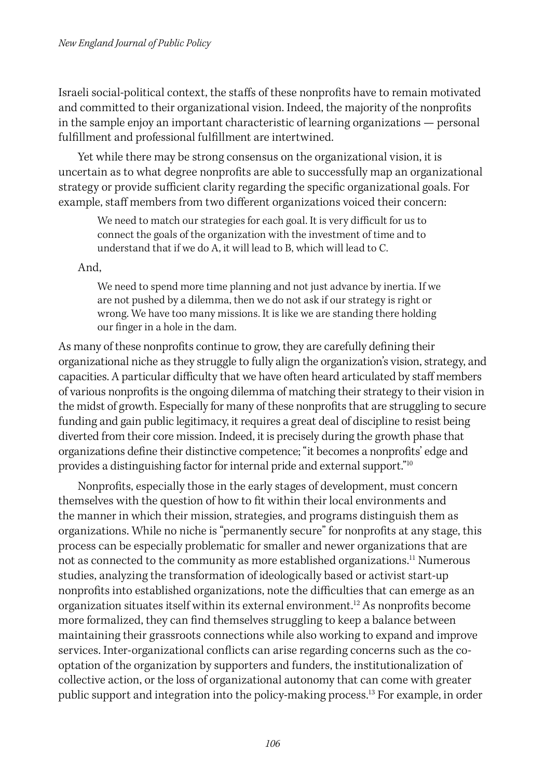Israeli social-political context, the staffs of these nonprofits have to remain motivated and committed to their organizational vision. Indeed, the majority of the nonprofits in the sample enjoy an important characteristic of learning organizations — personal fulfillment and professional fulfillment are intertwined.

Yet while there may be strong consensus on the organizational vision, it is uncertain as to what degree nonprofits are able to successfully map an organizational strategy or provide sufficient clarity regarding the specific organizational goals. For example, staff members from two different organizations voiced their concern:

We need to match our strategies for each goal. It is very difficult for us to connect the goals of the organization with the investment of time and to understand that if we do A, it will lead to B, which will lead to C.

And,

We need to spend more time planning and not just advance by inertia. If we are not pushed by a dilemma, then we do not ask if our strategy is right or wrong. We have too many missions. It is like we are standing there holding our finger in a hole in the dam.

As many of these nonprofits continue to grow, they are carefully defining their organizational niche as they struggle to fully align the organization's vision, strategy, and capacities. A particular difficulty that we have often heard articulated by staff members of various nonprofits is the ongoing dilemma of matching their strategy to their vision in the midst of growth. Especially for many of these nonprofits that are struggling to secure funding and gain public legitimacy, it requires a great deal of discipline to resist being diverted from their core mission. Indeed, it is precisely during the growth phase that organizations define their distinctive competence; "it becomes a nonprofits' edge and provides a distinguishing factor for internal pride and external support."10

Nonprofits, especially those in the early stages of development, must concern themselves with the question of how to fit within their local environments and the manner in which their mission, strategies, and programs distinguish them as organizations. While no niche is "permanently secure" for nonprofits at any stage, this process can be especially problematic for smaller and newer organizations that are not as connected to the community as more established organizations.<sup>11</sup> Numerous studies, analyzing the transformation of ideologically based or activist start-up nonprofits into established organizations, note the difficulties that can emerge as an organization situates itself within its external environment.12 As nonprofits become more formalized, they can find themselves struggling to keep a balance between maintaining their grassroots connections while also working to expand and improve services. Inter-organizational conflicts can arise regarding concerns such as the cooptation of the organization by supporters and funders, the institutionalization of collective action, or the loss of organizational autonomy that can come with greater public support and integration into the policy-making process.<sup>13</sup> For example, in order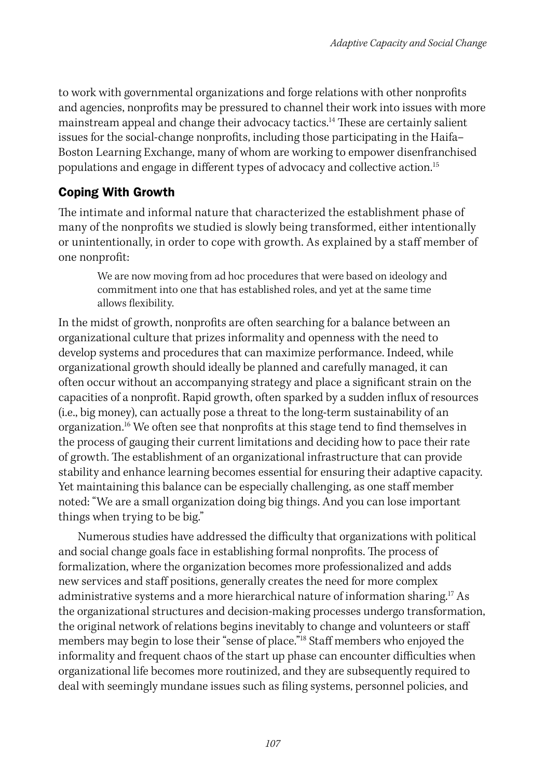to work with governmental organizations and forge relations with other nonprofits and agencies, nonprofits may be pressured to channel their work into issues with more mainstream appeal and change their advocacy tactics.<sup>14</sup> These are certainly salient issues for the social-change nonprofits, including those participating in the Haifa– Boston Learning Exchange, many of whom are working to empower disenfranchised populations and engage in different types of advocacy and collective action.15

#### Coping With Growth

The intimate and informal nature that characterized the establishment phase of many of the nonprofits we studied is slowly being transformed, either intentionally or unintentionally, in order to cope with growth. As explained by a staff member of one nonprofit:

We are now moving from ad hoc procedures that were based on ideology and commitment into one that has established roles, and yet at the same time allows flexibility.

In the midst of growth, nonprofits are often searching for a balance between an organizational culture that prizes informality and openness with the need to develop systems and procedures that can maximize performance. Indeed, while organizational growth should ideally be planned and carefully managed, it can often occur without an accompanying strategy and place a significant strain on the capacities of a nonprofit. Rapid growth, often sparked by a sudden influx of resources (i.e., big money), can actually pose a threat to the long-term sustainability of an organization.16 We often see that nonprofits at this stage tend to find themselves in the process of gauging their current limitations and deciding how to pace their rate of growth. The establishment of an organizational infrastructure that can provide stability and enhance learning becomes essential for ensuring their adaptive capacity. Yet maintaining this balance can be especially challenging, as one staff member noted: "We are a small organization doing big things. And you can lose important things when trying to be big."

Numerous studies have addressed the difficulty that organizations with political and social change goals face in establishing formal nonprofits. The process of formalization, where the organization becomes more professionalized and adds new services and staff positions, generally creates the need for more complex administrative systems and a more hierarchical nature of information sharing.<sup>17</sup> As the organizational structures and decision-making processes undergo transformation, the original network of relations begins inevitably to change and volunteers or staff members may begin to lose their "sense of place."<sup>18</sup> Staff members who enjoyed the informality and frequent chaos of the start up phase can encounter difficulties when organizational life becomes more routinized, and they are subsequently required to deal with seemingly mundane issues such as filing systems, personnel policies, and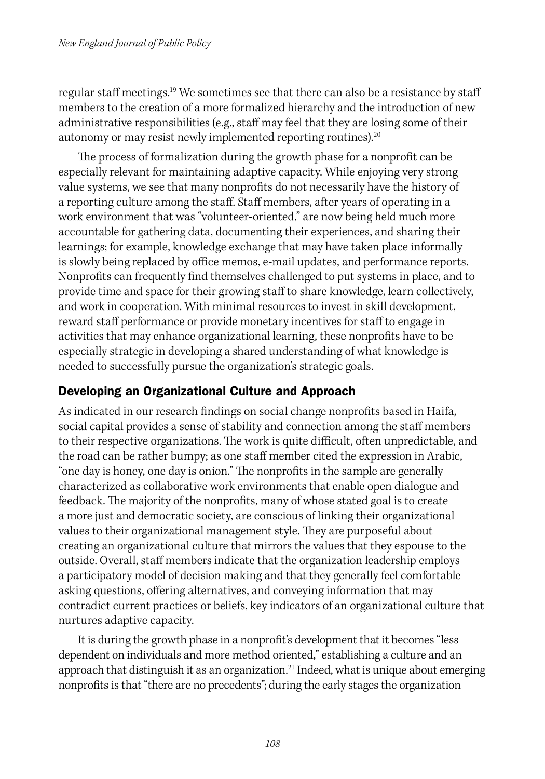regular staff meetings.<sup>19</sup> We sometimes see that there can also be a resistance by staff members to the creation of a more formalized hierarchy and the introduction of new administrative responsibilities (e.g., staff may feel that they are losing some of their autonomy or may resist newly implemented reporting routines).<sup>20</sup>

The process of formalization during the growth phase for a nonprofit can be especially relevant for maintaining adaptive capacity. While enjoying very strong value systems, we see that many nonprofits do not necessarily have the history of a reporting culture among the staff. Staff members, after years of operating in a work environment that was "volunteer-oriented," are now being held much more accountable for gathering data, documenting their experiences, and sharing their learnings; for example, knowledge exchange that may have taken place informally is slowly being replaced by office memos, e-mail updates, and performance reports. Nonprofits can frequently find themselves challenged to put systems in place, and to provide time and space for their growing staff to share knowledge, learn collectively, and work in cooperation. With minimal resources to invest in skill development, reward staff performance or provide monetary incentives for staff to engage in activities that may enhance organizational learning, these nonprofits have to be especially strategic in developing a shared understanding of what knowledge is needed to successfully pursue the organization's strategic goals.

#### Developing an Organizational Culture and Approach

As indicated in our research findings on social change nonprofits based in Haifa, social capital provides a sense of stability and connection among the staff members to their respective organizations. The work is quite difficult, often unpredictable, and the road can be rather bumpy; as one staff member cited the expression in Arabic, "one day is honey, one day is onion." The nonprofits in the sample are generally characterized as collaborative work environments that enable open dialogue and feedback. The majority of the nonprofits, many of whose stated goal is to create a more just and democratic society, are conscious of linking their organizational values to their organizational management style. They are purposeful about creating an organizational culture that mirrors the values that they espouse to the outside. Overall, staff members indicate that the organization leadership employs a participatory model of decision making and that they generally feel comfortable asking questions, offering alternatives, and conveying information that may contradict current practices or beliefs, key indicators of an organizational culture that nurtures adaptive capacity.

It is during the growth phase in a nonprofit's development that it becomes "less dependent on individuals and more method oriented," establishing a culture and an approach that distinguish it as an organization.<sup>21</sup> Indeed, what is unique about emerging nonprofits is that "there are no precedents"; during the early stages the organization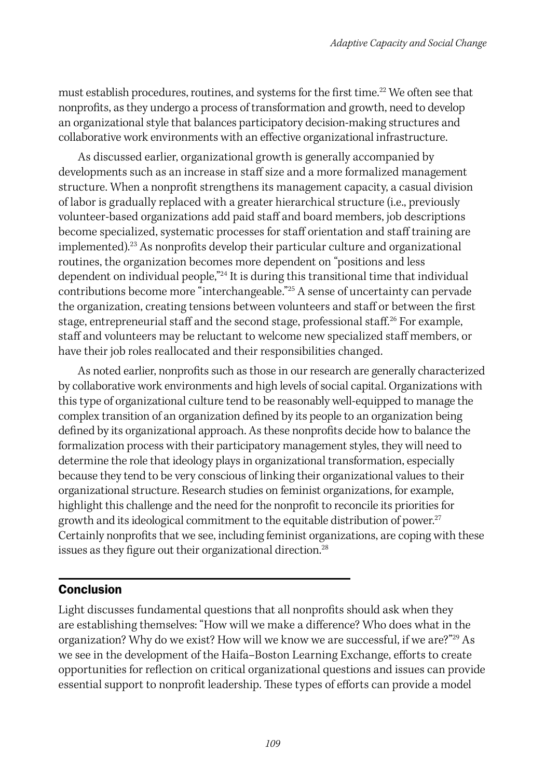must establish procedures, routines, and systems for the first time.<sup>22</sup> We often see that nonprofits, as they undergo a process of transformation and growth, need to develop an organizational style that balances participatory decision-making structures and collaborative work environments with an effective organizational infrastructure.

As discussed earlier, organizational growth is generally accompanied by developments such as an increase in staff size and a more formalized management structure. When a nonprofit strengthens its management capacity, a casual division of labor is gradually replaced with a greater hierarchical structure (i.e., previously volunteer-based organizations add paid staff and board members, job descriptions become specialized, systematic processes for staff orientation and staff training are implemented).23 As nonprofits develop their particular culture and organizational routines, the organization becomes more dependent on "positions and less dependent on individual people,"24 It is during this transitional time that individual contributions become more "interchangeable."25 A sense of uncertainty can pervade the organization, creating tensions between volunteers and staff or between the first stage, entrepreneurial staff and the second stage, professional staff.<sup>26</sup> For example, staff and volunteers may be reluctant to welcome new specialized staff members, or have their job roles reallocated and their responsibilities changed.

As noted earlier, nonprofits such as those in our research are generally characterized by collaborative work environments and high levels of social capital. Organizations with this type of organizational culture tend to be reasonably well-equipped to manage the complex transition of an organization defined by its people to an organization being defined by its organizational approach. As these nonprofits decide how to balance the formalization process with their participatory management styles, they will need to determine the role that ideology plays in organizational transformation, especially because they tend to be very conscious of linking their organizational values to their organizational structure. Research studies on feminist organizations, for example, highlight this challenge and the need for the nonprofit to reconcile its priorities for growth and its ideological commitment to the equitable distribution of power.<sup>27</sup> Certainly nonprofits that we see, including feminist organizations, are coping with these issues as they figure out their organizational direction.<sup>28</sup>

#### Conclusion

Light discusses fundamental questions that all nonprofits should ask when they are establishing themselves: "How will we make a difference? Who does what in the organization? Why do we exist? How will we know we are successful, if we are?"<sup>29</sup> As we see in the development of the Haifa–Boston Learning Exchange, efforts to create opportunities for reflection on critical organizational questions and issues can provide essential support to nonprofit leadership. These types of efforts can provide a model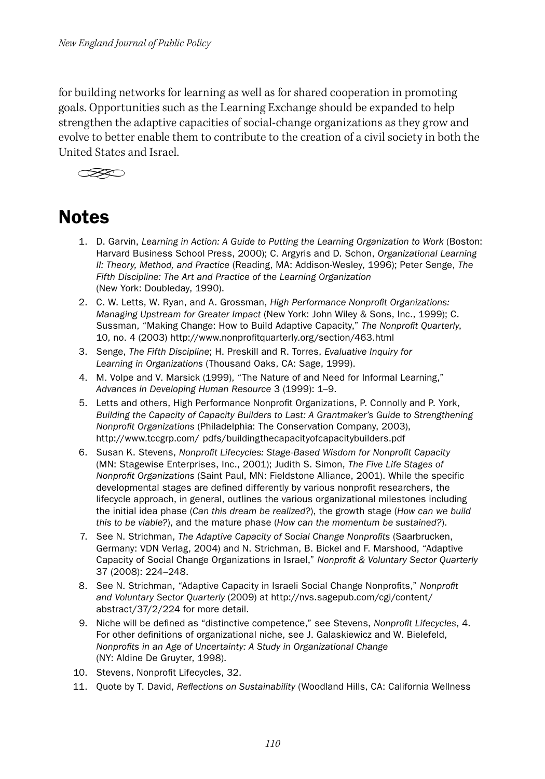for building networks for learning as well as for shared cooperation in promoting goals. Opportunities such as the Learning Exchange should be expanded to help strengthen the adaptive capacities of social-change organizations as they grow and evolve to better enable them to contribute to the creation of a civil society in both the United States and Israel.



## **Notes**

- 1. D. Garvin, *Learning in Action: A Guide to Putting the Learning Organization to Work* (Boston: Harvard Business School Press, 2000); C. Argyris and D. Schon, *Organizational Learning II: Theory, Method, and Practice* (Reading, MA: Addison-Wesley, 1996); Peter Senge, *The Fifth Discipline: The Art and Practice of the Learning Organization*  (New York: Doubleday, 1990).
- 2. C. W. Letts, W. Ryan, and A. Grossman, *High Performance Nonprofit Organizations: Managing Upstream for Greater Impact* (New York: John Wiley & Sons, Inc., 1999); C. Sussman, "Making Change: How to Build Adaptive Capacity," *The Nonprofit Quarterly*, 10, no. 4 (2003) http://www.nonprofitquarterly.org/section/463.html
- 3. Senge, *The Fifth Discipline*; H. Preskill and R. Torres, *Evaluative Inquiry for Learning in Organizations* (Thousand Oaks, CA: Sage, 1999).
- 4. M. Volpe and V. Marsick (1999), "The Nature of and Need for Informal Learning," *Advances in Developing Human Resource* 3 (1999): 1–9.
- 5. Letts and others, High Performance Nonprofit Organizations, P. Connolly and P. York, *Building the Capacity of Capacity Builders to Last: A Grantmaker's Guide to Strengthening Nonprofit Organizations* (Philadelphia: The Conservation Company, 2003), http://www.tccgrp.com/ pdfs/buildingthecapacityofcapacitybuilders.pdf
- 6. Susan K. Stevens, *Nonprofit Lifecycles: Stage-Based Wisdom for Nonprofit Capacity*  (MN: Stagewise Enterprises, Inc., 2001); Judith S. Simon, *The Five Life Stages of Nonprofit Organizations* (Saint Paul, MN: Fieldstone Alliance, 2001). While the specific developmental stages are defined differently by various nonprofit researchers, the lifecycle approach, in general, outlines the various organizational milestones including the initial idea phase (*Can this dream be realized?*), the growth stage (*How can we build this to be viable?*), and the mature phase (*How can the momentum be sustained?*).
- 7. See N. Strichman, *The Adaptive Capacity of Social Change Nonprofits* (Saarbrucken, Germany: VDN Verlag, 2004) and N. Strichman, B. Bickel and F. Marshood, "Adaptive Capacity of Social Change Organizations in Israel," *Nonprofit & Voluntary Sector Quarterly*  37 (2008): 224–248.
- 8. See N. Strichman, "Adaptive Capacity in Israeli Social Change Nonprofits," *Nonprofit and Voluntary Sector Quarterly* (2009) at http://nvs.sagepub.com/cgi/content/ abstract/37/2/224 for more detail.
- 9. Niche will be defined as "distinctive competence," see Stevens, *Nonprofit Lifecycles*, 4. For other definitions of organizational niche, see J. Galaskiewicz and W. Bielefeld, *Nonprofits in an Age of Uncertainty: A Study in Organizational Change*  (NY: Aldine De Gruyter, 1998).
- 10. Stevens, Nonprofit Lifecycles, 32.
- 11. Quote by T. David, *Reflections on Sustainability* (Woodland Hills, CA: California Wellness